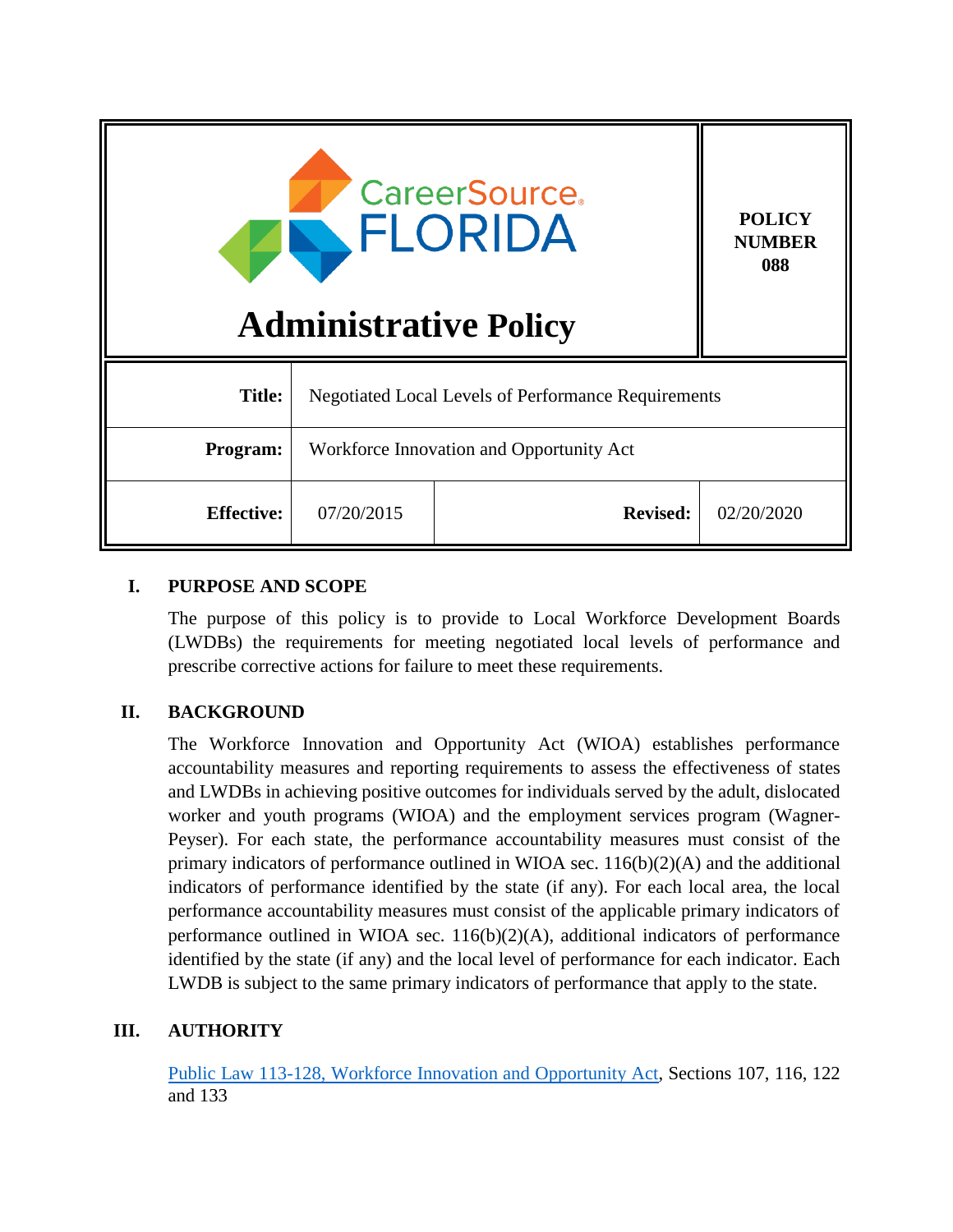| <b>CareerSource</b><br>FLORIDA<br><b>Administrative Policy</b> |                                                            |                 | <b>POLICY</b><br><b>NUMBER</b><br>088 |
|----------------------------------------------------------------|------------------------------------------------------------|-----------------|---------------------------------------|
| <b>Title:</b>                                                  | <b>Negotiated Local Levels of Performance Requirements</b> |                 |                                       |
| Program:                                                       | Workforce Innovation and Opportunity Act                   |                 |                                       |
| <b>Effective:</b>                                              | 07/20/2015                                                 | <b>Revised:</b> | 02/20/2020                            |

#### **I. PURPOSE AND SCOPE**

The purpose of this policy is to provide to Local Workforce Development Boards (LWDBs) the requirements for meeting negotiated local levels of performance and prescribe corrective actions for failure to meet these requirements.

#### **II. BACKGROUND**

The Workforce Innovation and Opportunity Act (WIOA) establishes performance accountability measures and reporting requirements to assess the effectiveness of states and LWDBs in achieving positive outcomes for individuals served by the adult, dislocated worker and youth programs (WIOA) and the employment services program (Wagner-Peyser). For each state, the performance accountability measures must consist of the primary indicators of performance outlined in WIOA sec. 116(b)(2)(A) and the additional indicators of performance identified by the state (if any). For each local area, the local performance accountability measures must consist of the applicable primary indicators of performance outlined in WIOA sec. 116(b)(2)(A), additional indicators of performance identified by the state (if any) and the local level of performance for each indicator. Each LWDB is subject to the same primary indicators of performance that apply to the state.

# **III. AUTHORITY**

[Public Law 113-128, Workforce Innovation and Opportunity Act,](https://www.govinfo.gov/content/pkg/PLAW-113publ128/pdf/PLAW-113publ128.pdf) Sections 107, 116, 122 and 133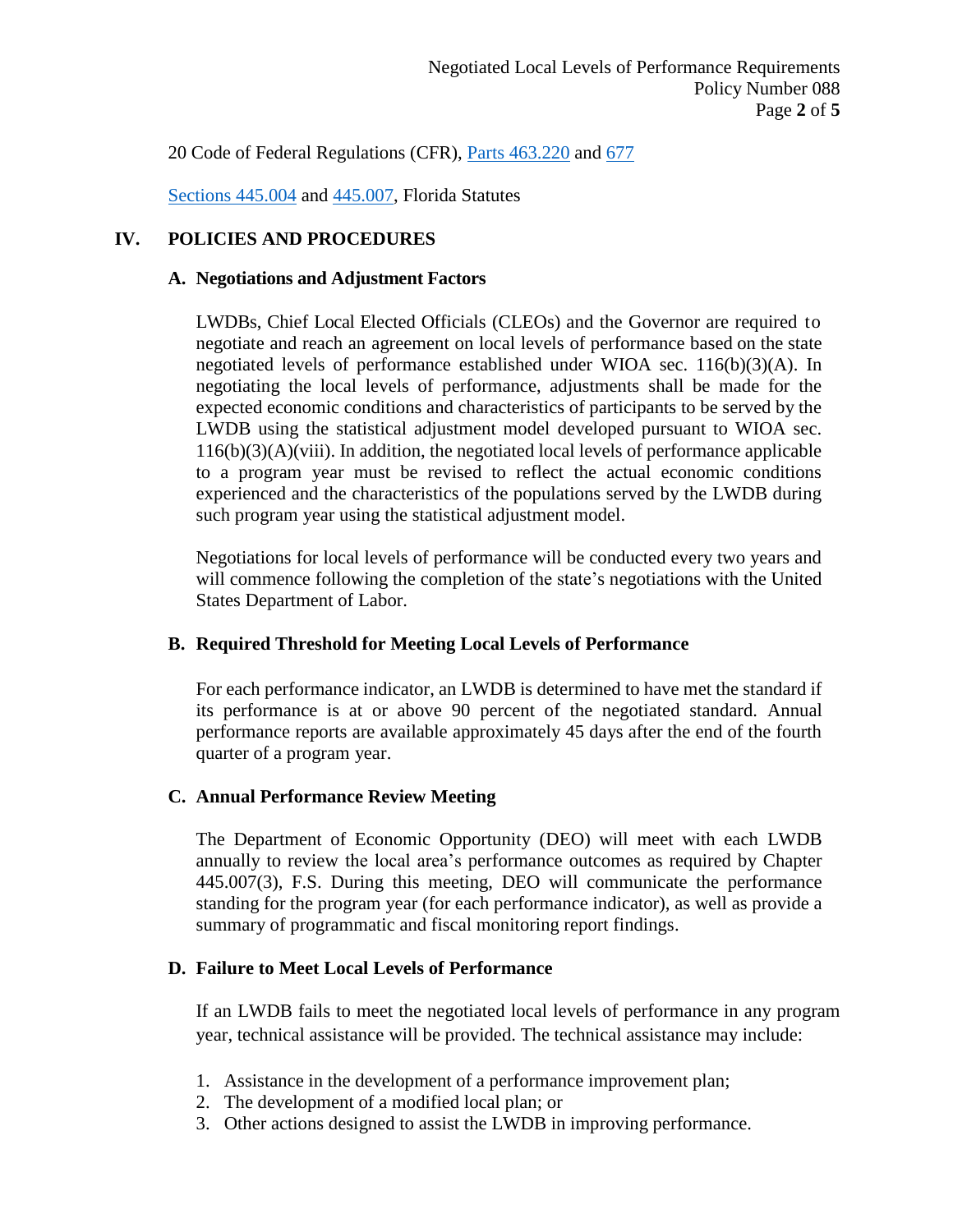20 Code of Federal Regulations (CFR), [Parts 463.220](https://www.govinfo.gov/content/pkg/CFR-2019-title20-vol2/xml/CFR-2019-title20-vol2.xml) and [677](https://www.govinfo.gov/content/pkg/CFR-2019-title20-vol4/xml/CFR-2019-title20-vol4.xml)

[Sections 445.004](http://www.leg.state.fl.us/Statutes/index.cfm?App_mode=Display_Statute&URL=0400-0499/0445/Sections/0445.004.html) and [445.007,](http://www.leg.state.fl.us/statutes/index.cfm?App_mode=Display_Statute&URL=0400-0499/0445/Sections/0445.007.html) Florida Statutes

### **IV. POLICIES AND PROCEDURES**

#### **A. Negotiations and Adjustment Factors**

LWDBs, Chief Local Elected Officials (CLEOs) and the Governor are required to negotiate and reach an agreement on local levels of performance based on the state negotiated levels of performance established under WIOA sec. 116(b)(3)(A). In negotiating the local levels of performance, adjustments shall be made for the expected economic conditions and characteristics of participants to be served by the LWDB using the statistical adjustment model developed pursuant to WIOA sec. 116(b)(3)(A)(viii). In addition, the negotiated local levels of performance applicable to a program year must be revised to reflect the actual economic conditions experienced and the characteristics of the populations served by the LWDB during such program year using the statistical adjustment model.

Negotiations for local levels of performance will be conducted every two years and will commence following the completion of the state's negotiations with the United States Department of Labor.

#### **B. Required Threshold for Meeting Local Levels of Performance**

For each performance indicator, an LWDB is determined to have met the standard if its performance is at or above 90 percent of the negotiated standard. Annual performance reports are available approximately 45 days after the end of the fourth quarter of a program year.

#### **C. Annual Performance Review Meeting**

The Department of Economic Opportunity (DEO) will meet with each LWDB annually to review the local area's performance outcomes as required by Chapter 445.007(3), F.S. During this meeting, DEO will communicate the performance standing for the program year (for each performance indicator), as well as provide a summary of programmatic and fiscal monitoring report findings.

#### **D. Failure to Meet Local Levels of Performance**

If an LWDB fails to meet the negotiated local levels of performance in any program year, technical assistance will be provided. The technical assistance may include:

- 1. Assistance in the development of a performance improvement plan;
- 2. The development of a modified local plan; or
- 3. Other actions designed to assist the LWDB in improving performance.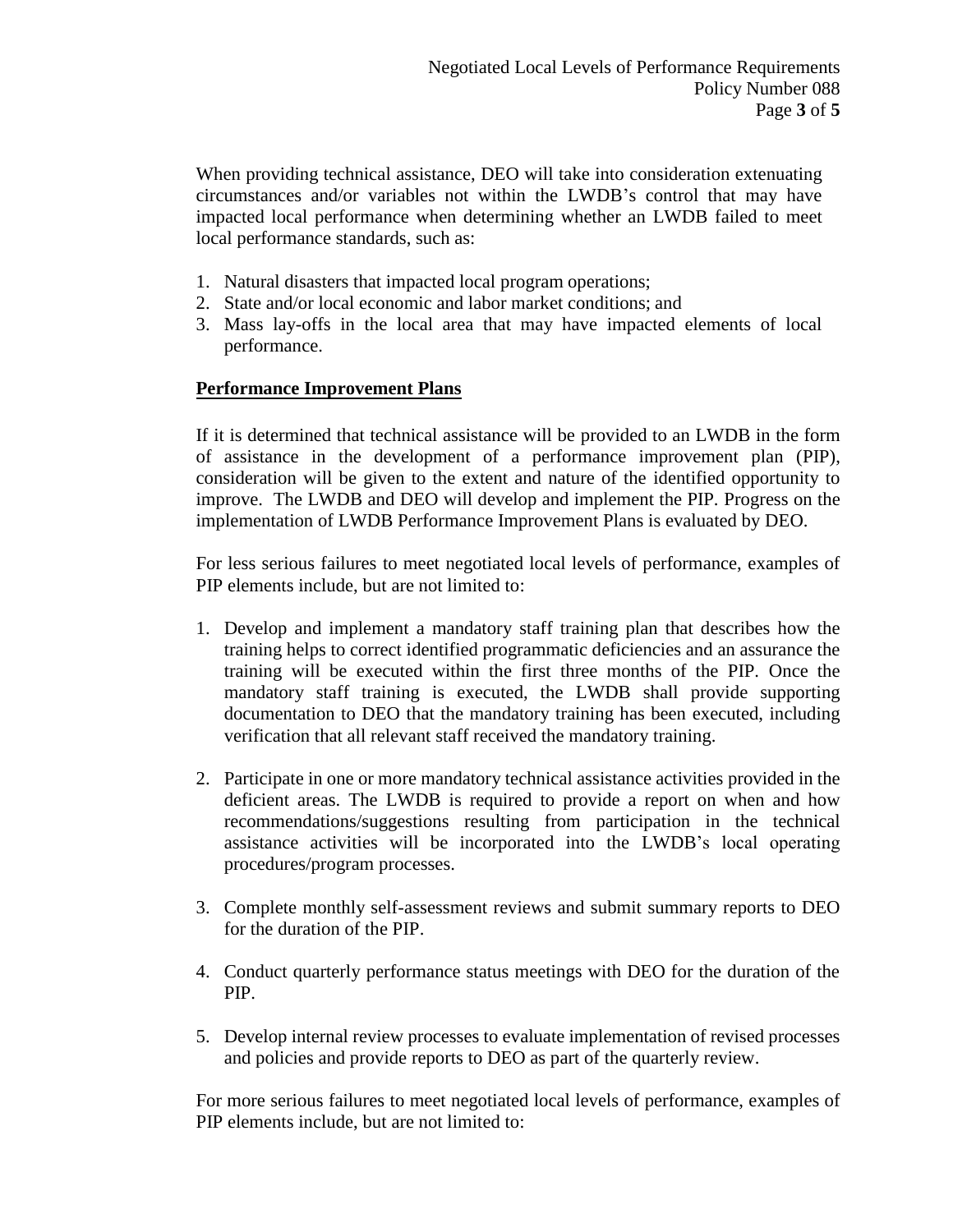When providing technical assistance, DEO will take into consideration extenuating circumstances and/or variables not within the LWDB's control that may have impacted local performance when determining whether an LWDB failed to meet local performance standards, such as:

- 1. Natural disasters that impacted local program operations;
- 2. State and/or local economic and labor market conditions; and
- 3. Mass lay-offs in the local area that may have impacted elements of local performance.

### **Performance Improvement Plans**

If it is determined that technical assistance will be provided to an LWDB in the form of assistance in the development of a performance improvement plan (PIP), consideration will be given to the extent and nature of the identified opportunity to improve. The LWDB and DEO will develop and implement the PIP. Progress on the implementation of LWDB Performance Improvement Plans is evaluated by DEO.

For less serious failures to meet negotiated local levels of performance, examples of PIP elements include, but are not limited to:

- 1. Develop and implement a mandatory staff training plan that describes how the training helps to correct identified programmatic deficiencies and an assurance the training will be executed within the first three months of the PIP. Once the mandatory staff training is executed, the LWDB shall provide supporting documentation to DEO that the mandatory training has been executed, including verification that all relevant staff received the mandatory training.
- 2. Participate in one or more mandatory technical assistance activities provided in the deficient areas. The LWDB is required to provide a report on when and how recommendations/suggestions resulting from participation in the technical assistance activities will be incorporated into the LWDB's local operating procedures/program processes.
- 3. Complete monthly self-assessment reviews and submit summary reports to DEO for the duration of the PIP.
- 4. Conduct quarterly performance status meetings with DEO for the duration of the PIP.
- 5. Develop internal review processes to evaluate implementation of revised processes and policies and provide reports to DEO as part of the quarterly review.

For more serious failures to meet negotiated local levels of performance, examples of PIP elements include, but are not limited to: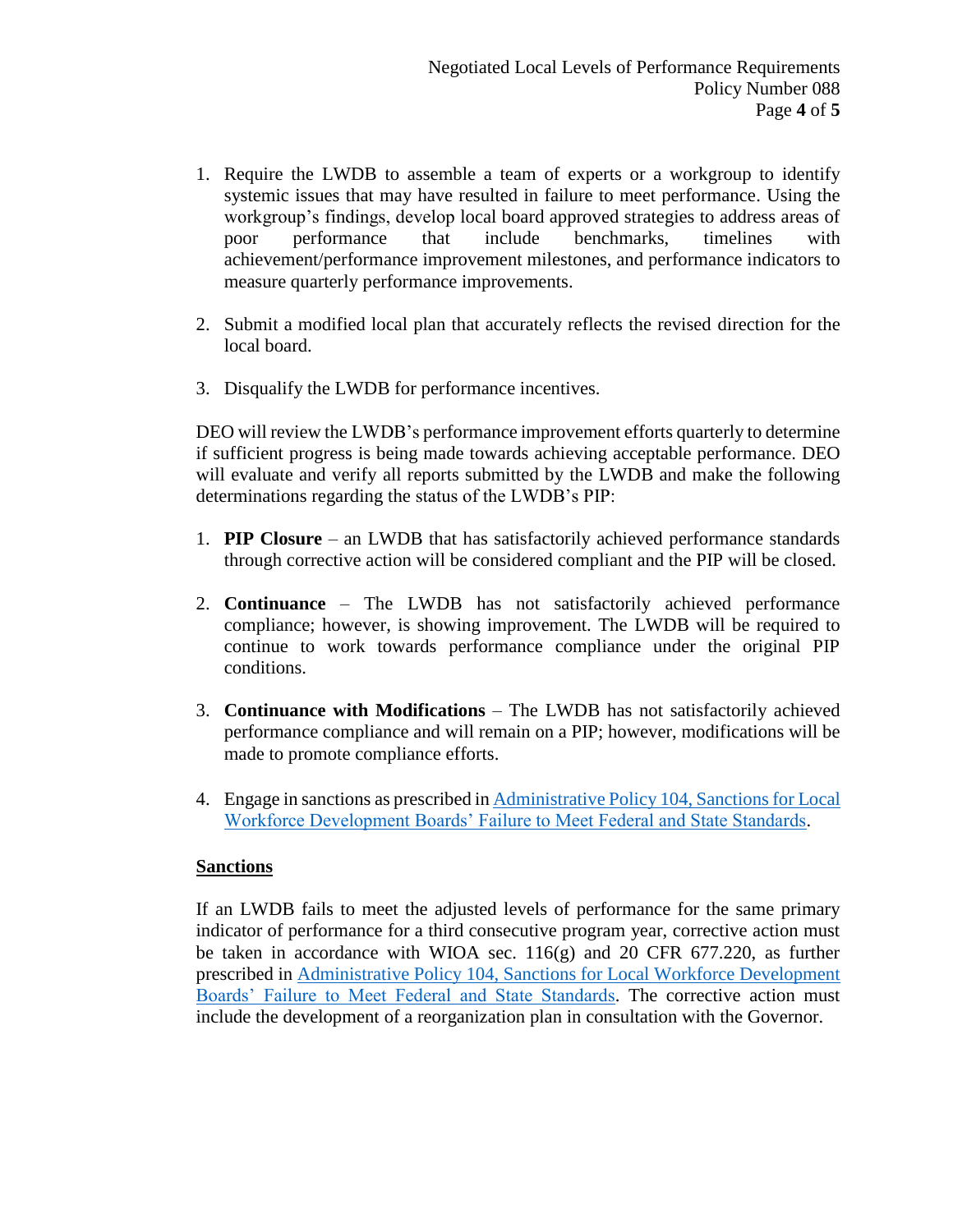- 1. Require the LWDB to assemble a team of experts or a workgroup to identify systemic issues that may have resulted in failure to meet performance. Using the workgroup's findings, develop local board approved strategies to address areas of poor performance that include benchmarks, timelines with achievement/performance improvement milestones, and performance indicators to measure quarterly performance improvements.
- 2. Submit a modified local plan that accurately reflects the revised direction for the local board.
- 3. Disqualify the LWDB for performance incentives.

DEO will review the LWDB's performance improvement efforts quarterly to determine if sufficient progress is being made towards achieving acceptable performance. DEO will evaluate and verify all reports submitted by the LWDB and make the following determinations regarding the status of the LWDB's PIP:

- 1. **PIP Closure** an LWDB that has satisfactorily achieved performance standards through corrective action will be considered compliant and the PIP will be closed.
- 2. **Continuance** The LWDB has not satisfactorily achieved performance compliance; however, is showing improvement. The LWDB will be required to continue to work towards performance compliance under the original PIP conditions.
- 3. **Continuance with Modifications** The LWDB has not satisfactorily achieved performance compliance and will remain on a PIP; however, modifications will be made to promote compliance efforts.
- 4. Engage in sanctions as prescribed in [Administrative Policy](http://www.floridajobs.org/docs/default-source/lwdb-resources/policy-and-guidance/guidance-papers/2020-guidance-papers/adminpolicy104_-sanctionslwdbsfailmeetfed-statestds---final.pdf?sfvrsn=858143b0_2) 104, Sanctions for Local [Workforce Development Boards' Failure to Meet Federal and State Standards.](http://www.floridajobs.org/docs/default-source/lwdb-resources/policy-and-guidance/guidance-papers/2020-guidance-papers/adminpolicy104_-sanctionslwdbsfailmeetfed-statestds---final.pdf?sfvrsn=858143b0_2)

#### **Sanctions**

If an LWDB fails to meet the adjusted levels of performance for the same primary indicator of performance for a third consecutive program year, corrective action must be taken in accordance with WIOA sec.  $116(g)$  and 20 CFR 677.220, as further prescribed in Administrative Policy [104, Sanctions for Local Workforce Development](http://www.floridajobs.org/docs/default-source/lwdb-resources/policy-and-guidance/guidance-papers/2020-guidance-papers/adminpolicy104_-sanctionslwdbsfailmeetfed-statestds---final.pdf?sfvrsn=858143b0_2)  [Boards' Failure to Meet Federal and State Standards.](http://www.floridajobs.org/docs/default-source/lwdb-resources/policy-and-guidance/guidance-papers/2020-guidance-papers/adminpolicy104_-sanctionslwdbsfailmeetfed-statestds---final.pdf?sfvrsn=858143b0_2) The corrective action must include the development of a reorganization plan in consultation with the Governor.